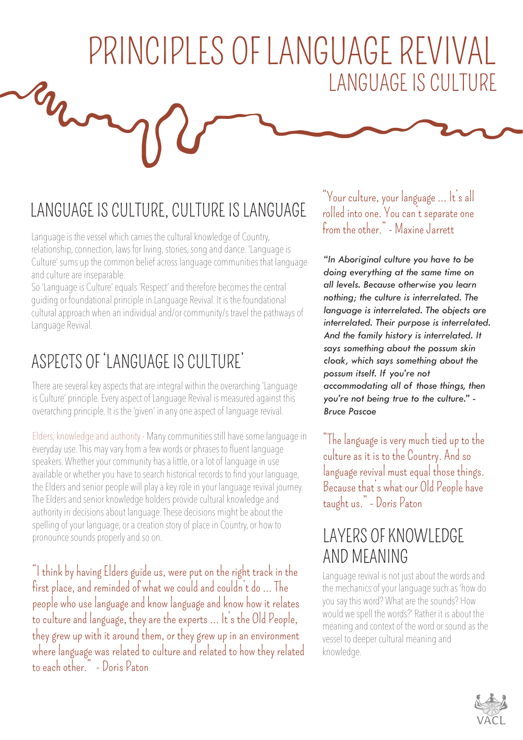# PRINCIPLES OF LANGUAGE REVIVAL LANGUAGE IS CULTURE War

## LANGUAGE IS CULTURE, CULTURE IS LANGUAGE

Language is the vessel which carries the cultural knowledge of Country, relationship, connection, laws for living, stories, song and dance. 'Language is Culture' sums up the common belief across language communities that language and culture are inseparable.

So 'Language is Culture' equals 'Respect' and therefore becomes the central guiding or foundational principle in Language Revival. It is the foundational cultural approach when an individual and/or community/s travel the pathways of Language Revival.

### ASPECTS OF 'LANGUAGE IS CULTURE'

There are several key aspects that are integral within the overarching 'Language is Culture' principle. Every aspect of Language Revival is measured against this overarching principle. It is the 'given' in any one aspect of language revival.

Elders, knowledge and authority - Many communities still have some language in everyday use. This may vary from a few words or phrases to fluent language speakers. Whether your community has a little, or a lot of language in use available or whether you have to search historical records to find your language, the Elders and senior people will play a key role in your language revival journey. The Elders and senior knowledge holders provide cultural knowledge and authority in decisions about language. These decisions might be about the spelling of your language, or a creation story of place in Country, or how to pronounce sounds properly and so on.

"I think by having Elders guide us, were put on the right track in the first place, and reminded of what we could and couldn't do … The people who use language and know language and know how it relates to culture and language, they are the experts … It's the Old People, they grew up with it around them, or they grew up in an environment where language was related to culture and related to how they related to each other." - Doris Paton

"Your culture, your language … It's all rolled into one. You can't separate one from the other." - Maxine Jarrett

*"In Aboriginal culture you have to be doing everything at the same time on all levels. Because otherwise you learn nothing; the culture is interrelated. The language is interrelated. The objects are interrelated. Their purpose is interrelated. And the family history is interrelated. It says something about the possum skin cloak, which says something about the possum itself. If you're not accommodating all of those things, then you're not being true to the culture." - Bruce Pascoe*

"The language is very much tied up to the culture as it is to the Country. And so language revival must equal those things. Because that's what our Old People have taught us." - Doris Paton

### LAYERS OF KNOWI FDGF AND MEANING

Language revival is not just about the words and the mechanics of your language such as 'how do you say this word? What are the sounds? How would we spell the words?' Rather it is about the meaning and context of the word or sound as the vessel to deeper cultural meaning and knowledge.